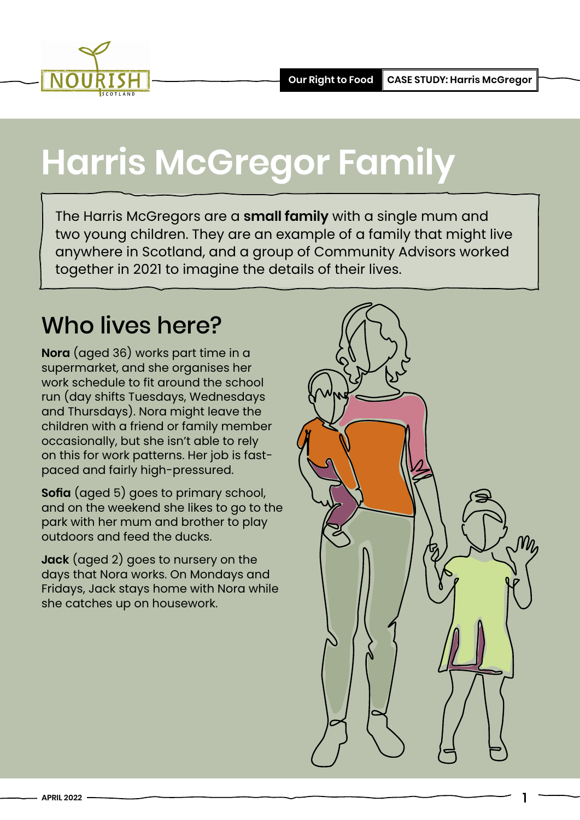

# **Harris McGregor Family**

The Harris McGregors are a **small family** with a single mum and two young children. They are an example of a family that might live anywhere in Scotland, and a group of Community Advisors worked together in 2021 to imagine the details of their lives.

### Who lives here?

**Nora** (aged 36) works part time in a supermarket, and she organises her work schedule to fit around the school run (day shifts Tuesdays, Wednesdays and Thursdays). Nora might leave the children with a friend or family member occasionally, but she isn't able to rely on this for work patterns. Her job is fastpaced and fairly high-pressured.

**Sofia** (aged 5) goes to primary school, and on the weekend she likes to go to the park with her mum and brother to play outdoors and feed the ducks.

**Jack** (aged 2) goes to nursery on the days that Nora works. On Mondays and Fridays, Jack stays home with Nora while she catches up on housework.



1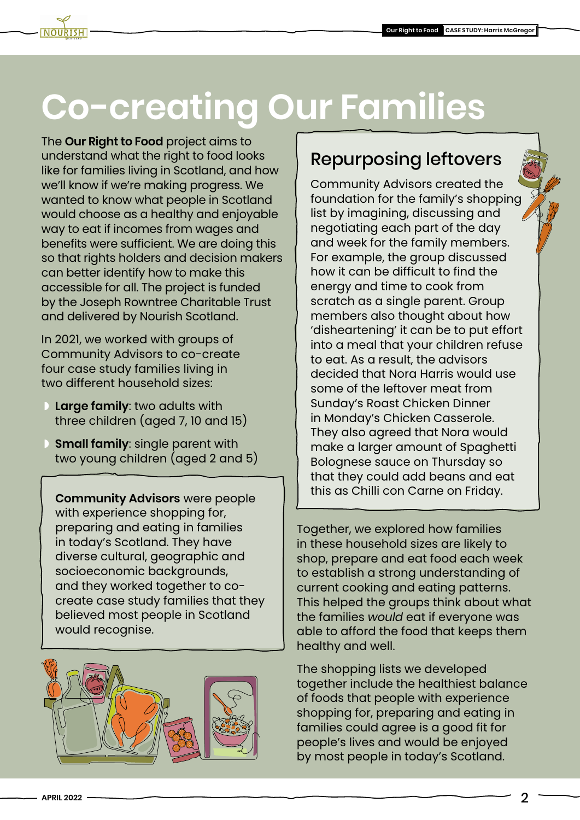## **Co-creating Our Families**

The **[Our Right to Food](https://www.nourishscotland.org/projects/our-right-to-food/)** project aims to understand what the right to food looks like for families living in Scotland, and how we'll know if we're making progress. We wanted to know what people in Scotland would choose as a healthy and enjoyable way to eat if incomes from wages and benefits were sufficient. We are doing this so that rights holders and decision makers can better identify how to make this accessible for all. The project is funded by the Joseph Rowntree Charitable Trust and delivered by Nourish Scotland.

In 2021, we worked with groups of Community Advisors to co-create four case study families living in two different household sizes:

- ◗ **Large family**: two adults with three children (aged 7, 10 and 15)
- ◗ **Small family**: single parent with two young children (aged 2 and 5)

**Community Advisors** were people with experience shopping for, preparing and eating in families in today's Scotland. They have diverse cultural, geographic and socioeconomic backgrounds, and they worked together to cocreate case study families that they believed most people in Scotland would recognise.



#### Repurposing leftovers

Community Advisors created the foundation for the family's shopping list by imagining, discussing and negotiating each part of the day and week for the family members. For example, the group discussed how it can be difficult to find the energy and time to cook from scratch as a single parent. Group members also thought about how 'disheartening' it can be to put effort into a meal that your children refuse to eat. As a result, the advisors decided that Nora Harris would use some of the leftover meat from Sunday's Roast Chicken Dinner in Monday's Chicken Casserole. They also agreed that Nora would make a larger amount of Spaghetti Bolognese sauce on Thursday so that they could add beans and eat this as Chilli con Carne on Friday.

Together, we explored how families in these household sizes are likely to shop, prepare and eat food each week to establish a strong understanding of current cooking and eating patterns. This helped the groups think about what the families *would* eat if everyone was able to afford the food that keeps them healthy and well.

The shopping lists we developed together include the healthiest balance of foods that people with experience shopping for, preparing and eating in families could agree is a good fit for people's lives and would be enjoyed by most people in today's Scotland.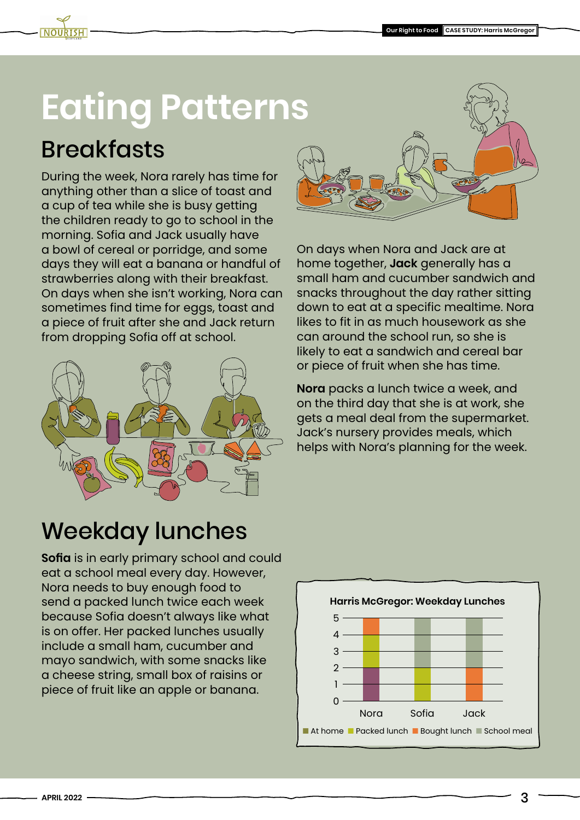### **Eating Patterns**

### **Breakfasts**

During the week, Nora rarely has time for anything other than a slice of toast and a cup of tea while she is busy getting the children ready to go to school in the morning. Sofia and Jack usually have a bowl of cereal or porridge, and some days they will eat a banana or handful of strawberries along with their breakfast. On days when she isn't working, Nora can sometimes find time for eggs, toast and a piece of fruit after she and Jack return from dropping Sofia off at school.





On days when Nora and Jack are at home together, **Jack** generally has a small ham and cucumber sandwich and snacks throughout the day rather sitting down to eat at a specific mealtime. Nora likes to fit in as much housework as she can around the school run, so she is likely to eat a sandwich and cereal bar or piece of fruit when she has time.

**Nora** packs a lunch twice a week, and on the third day that she is at work, she gets a meal deal from the supermarket. Jack's nursery provides meals, which helps with Nora's planning for the week.

### Weekday lunches

**Sofia** is in early primary school and could eat a school meal every day. However, Nora needs to buy enough food to send a packed lunch twice each week because Sofia doesn't always like what is on offer. Her packed lunches usually include a small ham, cucumber and mayo sandwich, with some snacks like a cheese string, small box of raisins or piece of fruit like an apple or banana.

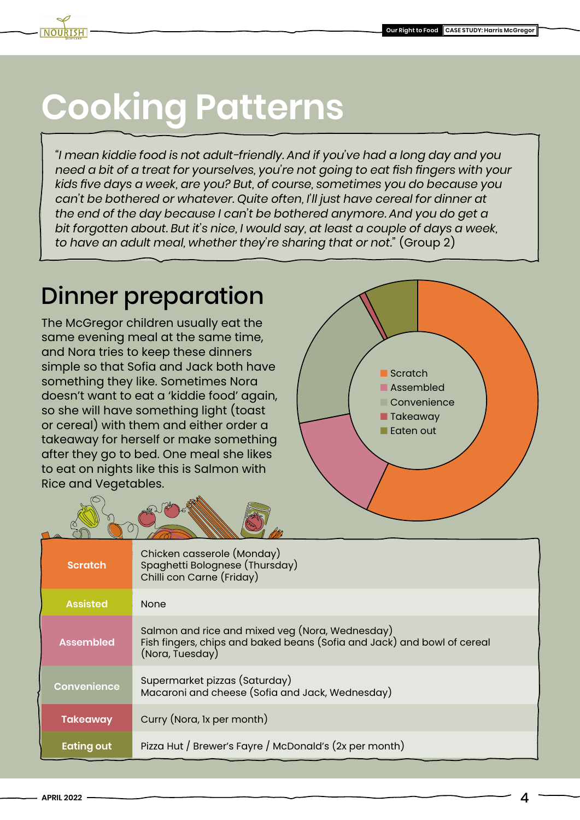# **Cooking Patterns**

*"I mean kiddie food is not adult-friendly. And if you've had a long day and you need a bit of a treat for yourselves, you're not going to eat fish fingers with your kids five days a week, are you? But, of course, sometimes you do because you can't be bothered or whatever. Quite often, I'll just have cereal for dinner at the end of the day because I can't be bothered anymore. And you do get a bit forgotten about. But it's nice, I would say, at least a couple of days a week, to have an adult meal, whether they're sharing that or not."* (Group 2)

### Dinner preparation

The McGregor children usually eat the same evening meal at the same time, and Nora tries to keep these dinners simple so that Sofia and Jack both have something they like. Sometimes Nora doesn't want to eat a 'kiddie food' again, so she will have something light (toast or cereal) with them and either order a takeaway for herself or make something after they go to bed. One meal she likes to eat on nights like this is Salmon with Rice and Vegetables.



| <b>Scratch</b>     | Chicken casserole (Monday)<br>Spaghetti Bolognese (Thursday)<br>Chilli con Carne (Friday)                                                     |
|--------------------|-----------------------------------------------------------------------------------------------------------------------------------------------|
| <b>Assisted</b>    | <b>None</b>                                                                                                                                   |
| <b>Assembled</b>   | Salmon and rice and mixed veg (Nora, Wednesday)<br>Fish fingers, chips and baked beans (Sofia and Jack) and bowl of cereal<br>(Nora, Tuesday) |
| <b>Convenience</b> | Supermarket pizzas (Saturday)<br>Macaroni and cheese (Sofia and Jack, Wednesday)                                                              |
| <b>Takeaway</b>    | Curry (Nora, 1x per month)                                                                                                                    |
| <b>Eating out</b>  | Pizza Hut / Brewer's Fayre / McDonald's (2x per month)                                                                                        |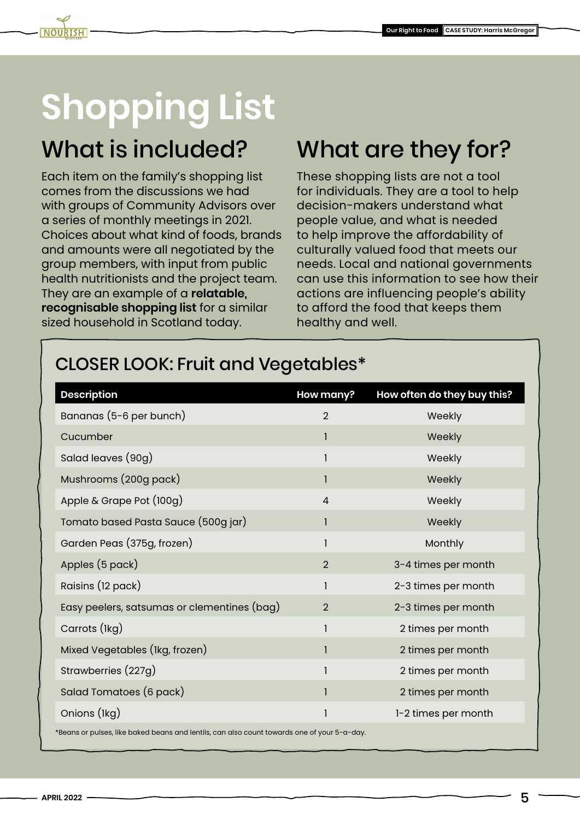### What is included?

Each item on the family's shopping list comes from the discussions we had with groups of Community Advisors over a series of monthly meetings in 2021. Choices about what kind of foods, brands and amounts were all negotiated by the group members, with input from public health nutritionists and the project team. They are an example of a **relatable, recognisable shopping list** for a similar sized household in Scotland today.

### What are they for?

These shopping lists are not a tool for individuals. They are a tool to help decision-makers understand what people value, and what is needed to help improve the affordability of culturally valued food that meets our needs. Local and national governments can use this information to see how their actions are influencing people's ability to afford the food that keeps them healthy and well.

#### CLOSER LOOK: Fruit and Vegetables\*

| <b>Description</b>                          | How many?      | How often do they buy this? |
|---------------------------------------------|----------------|-----------------------------|
| Bananas (5-6 per bunch)                     | $\overline{2}$ | Weekly                      |
| Cucumber                                    | 1              | Weekly                      |
| Salad leaves (90g)                          | $\mathbf{I}$   | Weekly                      |
| Mushrooms (200g pack)                       | 1              | Weekly                      |
| Apple & Grape Pot (100g)                    | $\overline{4}$ | Weekly                      |
| Tomato based Pasta Sauce (500g jar)         | 1              | Weekly                      |
| Garden Peas (375g, frozen)                  | 1              | Monthly                     |
| Apples (5 pack)                             | $\overline{2}$ | 3-4 times per month         |
| Raisins (12 pack)                           | 1              | 2-3 times per month         |
| Easy peelers, satsumas or clementines (bag) | $\overline{2}$ | 2-3 times per month         |
| Carrots (lkg)                               | 1              | 2 times per month           |
| Mixed Vegetables (Ikg, frozen)              | 1              | 2 times per month           |
| Strawberries (227g)                         | 1              | 2 times per month           |
| Salad Tomatoes (6 pack)                     | 1              | 2 times per month           |
| Onions (lkg)                                | I              | 1-2 times per month         |

 $*$ Beans or pulses, like baked beans and lentils, can also count towards one of your 5-a-day.